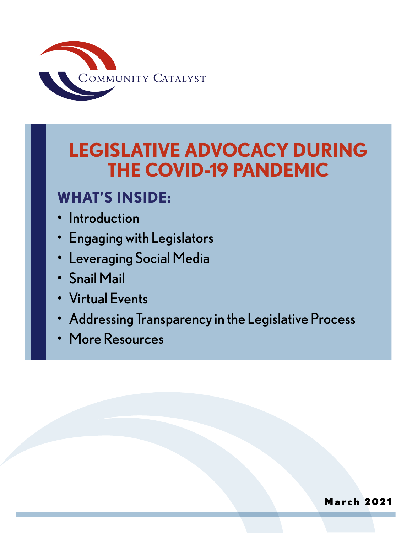

# **LEGISLATIVE ADVOCACY DURING THE COVID-19 PANDEMIC**

# **WHAT'S INSIDE:**

- **Introduction**
- Engaging with Legislators
- **Leveraging Social Media**
- Snail Mail
- Virtual Events
- Addressing Transparency in the Legislative Process
- More Resources

### March 2021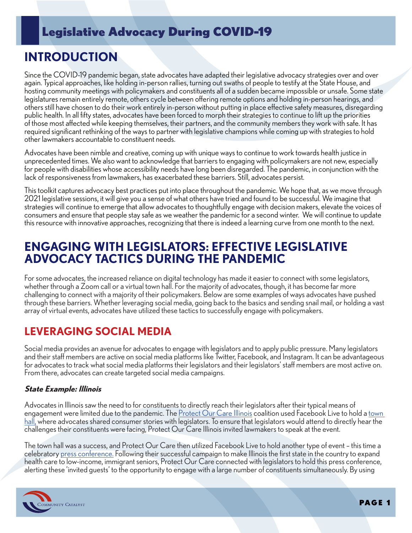# **INTRODUCTION**

Since the COVID-19 pandemic began, state advocates have adapted their legislative advocacy strategies over and over again. Typical approaches, like holding in-person rallies, turning out swaths of people to testify at the State House, and hosting community meetings with policymakers and constituents all of a sudden became impossible or unsafe. Some state legislatures remain entirely remote, others cycle between offering remote options and holding in-person hearings, and others still have chosen to do their work entirely in-person without putting in place effective safety measures, disregarding public health. In all fifty states, advocates have been forced to morph their strategies to continue to lift up the priorities of those most affected while keeping themselves, their partners, and the community members they work with safe. It has required significant rethinking of the ways to partner with legislative champions while coming up with strategies to hold other lawmakers accountable to constituent needs.

Advocates have been nimble and creative, coming up with unique ways to continue to work towards health justice in unprecedented times. We also want to acknowledge that barriers to engaging with policymakers are not new, especially for people with disabilities whose accessibility needs have long been disregarded. The pandemic, in conjunction with the lack of responsiveness from lawmakers, has exacerbated these barriers. Still, advocates persist.

This toolkit captures advocacy best practices put into place throughout the pandemic. We hope that, as we move through 2021 legislative sessions, it will give you a sense of what others have tried and found to be successful. We imagine that strategies will continue to emerge that allow advocates to thoughtfully engage with decision makers, elevate the voices of consumers and ensure that people stay safe as we weather the pandemic for a second winter. We will continue to update this resource with innovative approaches, recognizing that there is indeed a learning curve from one month to the next.

### **ENGAGING WITH LEGISLATORS: EFFECTIVE LEGISLATIVE ADVOCACY TACTICS DURING THE PANDEMIC**

For some advocates, the increased reliance on digital technology has made it easier to connect with some legislators, whether through a Zoom call or a virtual town hall. For the majority of advocates, though, it has become far more challenging to connect with a majority of their policymakers. Below are some examples of ways advocates have pushed through these barriers. Whether leveraging social media, going back to the basics and sending snail mail, or holding a vast array of virtual events, advocates have utilized these tactics to successfully engage with policymakers.

### **LEVERAGING SOCIAL MEDIA**

Social media provides an avenue for advocates to engage with legislators and to apply public pressure. Many legislators and their staff members are active on social media platforms like Twitter, Facebook, and Instagram. It can be advantageous for advocates to track what social media platforms their legislators and their legislators' staff members are most active on. From there, advocates can create targeted social media campaigns.

#### **State Example: Illinois**

Advocates in Illinois saw the need to for constituents to directly reach their legislators after their typical means of engagement were limited due to the pandemic. The [Protect Our Care Illinois](https://protectourcareil.org/) coalition used Facebook Live to hold a [town](https://www.facebook.com/events/663830544389536)  [hall,](https://www.facebook.com/events/663830544389536) where advocates shared consumer stories with legislators. To ensure that legislators would attend to directly hear the challenges their constituents were facing, Protect Our Care Illinois invited lawmakers to speak at the event.

The town hall was a success, and Protect Our Care then utilized Facebook Live to hold another type of event – this time a celebratory [press conference.](https://www.facebook.com/events/263801821374430) Following their successful campaign to make Illinois the first state in the country to expand health care to low-income, immigrant seniors, Protect Our Care connected with legislators to hold this press conference, alerting these 'invited guests' to the opportunity to engage with a large number of constituents simultaneously. By using

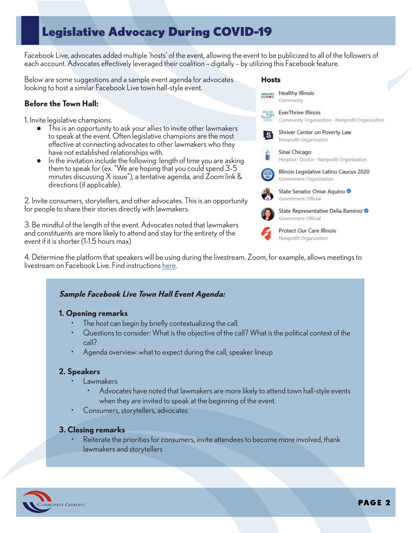Facebook Live, advocates added multiple 'hosts' of the event, allowing the event to be publicized to all of the followers of each account. Advocates effectively leveraged their coalition – digitally – by utilizing this Facebook feature.

Below are some suggestions and a sample event agenda for advocates looking to host a similar Facebook Live town hall-style event.

#### **Before the Town Hall:**

1. Invite legislative champions.

- This is an opportunity to ask your allies to invite other lawmakers to speak at the event. Often legislative champions are the most effective at connecting advocates to other lawmakers who they have not established relationships with.
- In the invitation include the following: length of time you are asking them to speak for (ex. "We are hoping that you could spend 3-5 minutes discussing X issue"), a tentative agenda, and Zoom link & directions (if applicable).

2. Invite consumers, storytellers, and other advocates. This is an opportunity for people to share their stories directly with lawmakers.

3. Be mindful of the length of the event. Advocates noted that lawmakers and constituents are more likely to attend and stay for the entirety of the event if it is shorter (1-1.5 hours max)



#### **Sample Facebook Live Town Hall Event Agenda:**

#### **1. Opening remarks**

- The host can begin by briefly contextualizing the call.
- Questions to consider: What is the objective of the call? What is the political context of the call?
- Agenda overview: what to expect during the call, speaker lineup

#### **2. Speakers**

- **Lawmakers** 
	- Advocates have noted that lawmakers are more likely to attend town hall-style events when they are invited to speak at the beginning of the event.
- Consumers, storytellers, advocates

#### **3. Closing remarks**

Reiterate the priorities for consumers, invite attendees to become more involved, thank lawmakers and storytellers





Nonprofit Organization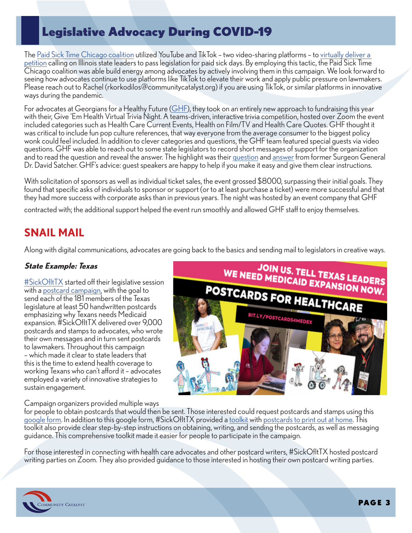The [Paid Sick Time Chicago coalition](http://sicktimechicago.org/) utilized YouTube and TikTok – two video-sharing platforms – to [virtually deliver a](https://www.youtube.com/watch?v=T0SAZSS8nwQ&t=1s)  [petition](https://www.youtube.com/watch?v=T0SAZSS8nwQ&t=1s) calling on Illinois state leaders to pass legislation for paid sick days. By employing this tactic, the Paid Sick Time Chicago coalition was able build energy among advocates by actively involving them in this campaign. We look forward to seeing how advocates continue to use platforms like TikTok to elevate their work and apply public pressure on lawmakers. Please reach out to Rachel (rkorkodilos@communitycatalyst.org) if you are using TikTok, or similar platforms in innovative ways during the pandemic.

For advocates at Georgians for a Healthy Future [\(GHF](http://healthyfuturega.org/)), they took on an entirely new approach to fundraising this year with their, Give 'Em Health Virtual Trivia Night. A teams-driven, interactive trivia competition, hosted over Zoom the event included categories such as Health Care Current Events, Health on Film/TV and Health Care Quotes. GHF thought it was critical to include fun pop culture references, that way everyone from the average consumer to the biggest policy wonk could feel included. In addition to clever categories and questions, the GHF team featured special guests via video questions. GHF was able to reach out to some state legislators to record short messages of support for the organization and to read the question and reveal the answer. The highlight was their [question](https://drive.google.com/file/d/1DaNeKSsk7eH6_WNqRVSx5Ncj9s7RNxw3/view?fbclid=IwAR2CfXdRzXR13iN7SwQ_otfr5hNA1emB8X75vNbWftEm5jxk0s63umnlmgw) and [answer](https://drive.google.com/file/d/1iJoKhojILfpZ01DhC8zGxKxjj94OPkPf/view?fbclid=IwAR2lsFInRhyjBsuttQ2kK87fA5cxUYCNAznETc4Qg7sBxkZZamh2M6DFXzM) from former Surgeon General Dr. David Satcher. GHF's advice: guest speakers are happy to help if you make it easy and give them clear instructions.

With solicitation of sponsors as well as individual ticket sales, the event grossed \$8000, surpassing their initial goals. They found that specific asks of individuals to sponsor or support (or to at least purchase a ticket) were more successful and that they had more success with corporate asks than in previous years. The night was hosted by an event company that GHF

contracted with; the additional support helped the event run smoothly and allowed GHF staff to enjoy themselves.

### **SNAIL MAIL**

Along with digital communications, advocates are going back to the basics and sending mail to legislators in creative ways.

#### **State Example: Texas**

[#SickOfItTX](https://sickofittx.com/) started off their legislative session with a [postcard campaign,](https://sickofittx.com/postcards-for-healthcare/) with the goal to send each of the 181 members of the Texas legislature at least 50 handwritten postcards emphasizing why Texans needs Medicaid expansion. #SickOfItTX delivered over 9,000 postcards and stamps to advocates, who wrote their own messages and in turn sent postcards to lawmakers. Throughout this campaign – which made it clear to state leaders that this is the time to extend health coverage to working Texans who can't afford it – advocates employed a variety of innovative strategies to sustain engagement.

Campaign organizers provided multiple ways



for people to obtain postcards that would then be sent. Those interested could request postcards and stamps using this [google form.](https://docs.google.com/forms/d/e/1FAIpQLSdpQE5s04Fu1COpLb887W6Kg9UDimQBD03q80zxOjS7V5MIaA/viewform) In addition to this google form, #SickOfItTX provided a [toolkit](https://docs.google.com/document/d/1BZEVsign2U922B48Q9YtFWMwtkQG6xl8TJEtv3ME8JQ/edit) with [postcards to print out at home](https://drive.google.com/file/d/1SACz6ltS380VIKaoJ5OGKHTk-e9arurj/view). This toolkit also provide clear step-by-step instructions on obtaining, writing, and sending the postcards, as well as messaging guidance. This comprehensive toolkit made it easier for people to participate in the campaign.

For those interested in connecting with health care advocates and other postcard writers, #SickOfItTX hosted postcard writing parties on Zoom. They also provided guidance to those interested in hosting their own postcard writing parties.

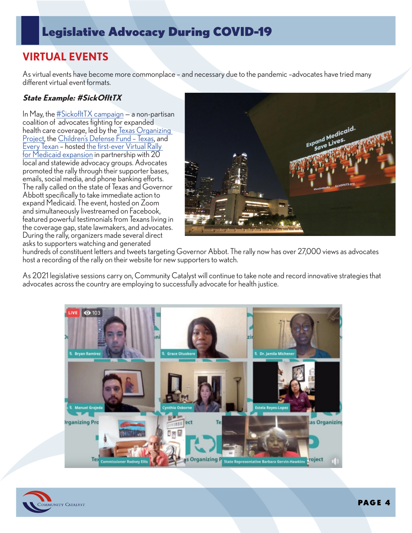### **VIRTUAL EVENTS**

As virtual events have become more commonplace – and necessary due to the pandemic –advocates have tried many different virtual event formats.

#### **State Example: #SickOfItTX**

In May, the  $\frac{\text{#Sickoff}}{\text{HX}}$  campaign – a non-partisan coalition of advocates fighting for expanded health care coverage, led by th[e Texas Organizing](https://organizetexas.org/)  [Project,](https://organizetexas.org/) the [Children's Defense Fund – Texas,](https://cdftexas.org/) and [Every Texan](https://everytexan.org/) – hosted [the first-ever Virtual Rally](https://www.facebook.com/watch/live/?v=1148945835442284)  [for Medicaid expansion](https://www.facebook.com/watch/live/?v=1148945835442284) in partnership with 20 local and statewide advocacy groups. Advocates promoted the rally through their supporter bases, emails, social media, and phone banking efforts. The rally called on the state of Texas and Governor Abbott specifically to take immediate action to expand Medicaid. The event, hosted on Zoom and simultaneously livestreamed on Facebook, featured powerful testimonials from Texans living in the coverage gap, state lawmakers, and advocates. During the rally, organizers made several direct asks to supporters watching and generated



hundreds of constituent letters and tweets targeting Governor Abbot. The rally now has over 27,000 views as advocates host a recording of the rally on their website for new supporters to watch.

As 2021 legislative sessions carry on, Community Catalyst will continue to take note and record innovative strategies that advocates across the country are employing to successfully advocate for health justice.